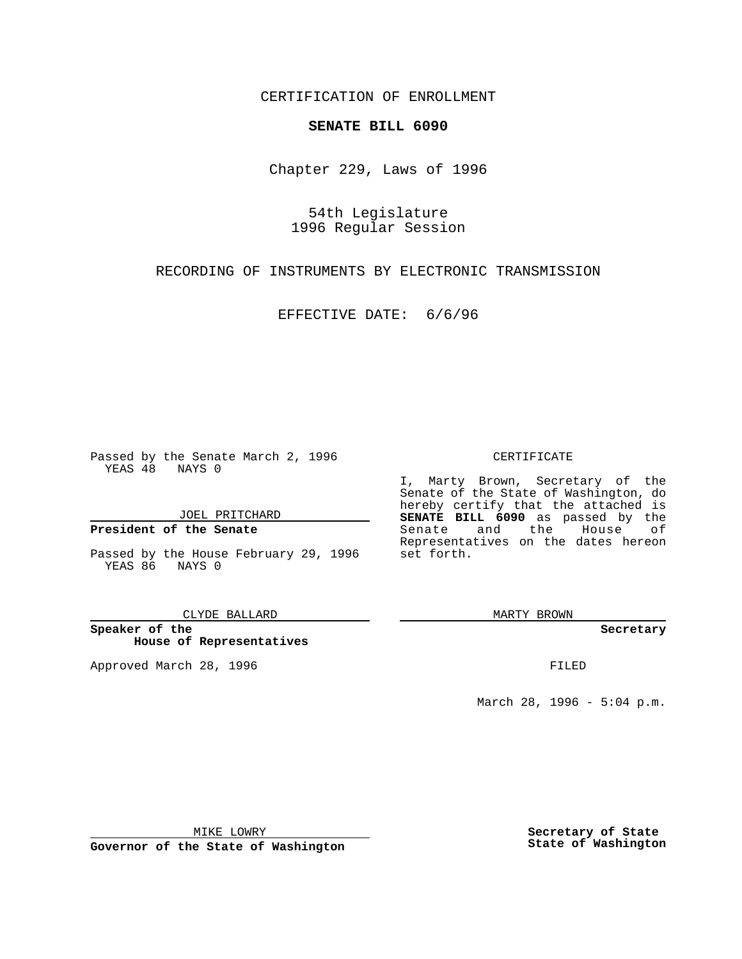CERTIFICATION OF ENROLLMENT

## **SENATE BILL 6090**

Chapter 229, Laws of 1996

54th Legislature 1996 Regular Session

RECORDING OF INSTRUMENTS BY ELECTRONIC TRANSMISSION

EFFECTIVE DATE: 6/6/96

Passed by the Senate March 2, 1996 YEAS 48 NAYS 0

JOEL PRITCHARD

**President of the Senate**

Passed by the House February 29, 1996 set forth. YEAS 86 NAYS 0

CLYDE BALLARD

**Speaker of the House of Representatives**

Approved March 28, 1996 FILED

## CERTIFICATE

I, Marty Brown, Secretary of the Senate of the State of Washington, do hereby certify that the attached is **SENATE BILL 6090** as passed by the Senate and the House of Representatives on the dates hereon

MARTY BROWN

**Secretary**

March 28, 1996 - 5:04 p.m.

MIKE LOWRY

**Governor of the State of Washington**

**Secretary of State State of Washington**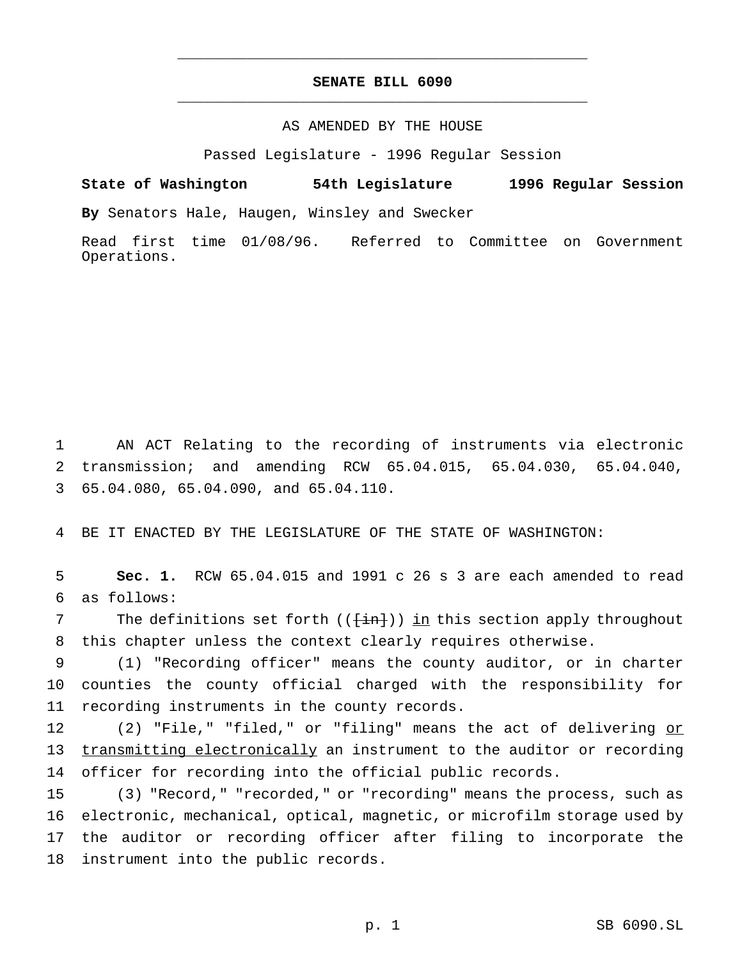## **SENATE BILL 6090** \_\_\_\_\_\_\_\_\_\_\_\_\_\_\_\_\_\_\_\_\_\_\_\_\_\_\_\_\_\_\_\_\_\_\_\_\_\_\_\_\_\_\_\_\_\_\_

\_\_\_\_\_\_\_\_\_\_\_\_\_\_\_\_\_\_\_\_\_\_\_\_\_\_\_\_\_\_\_\_\_\_\_\_\_\_\_\_\_\_\_\_\_\_\_

## AS AMENDED BY THE HOUSE

Passed Legislature - 1996 Regular Session

**State of Washington 54th Legislature 1996 Regular Session By** Senators Hale, Haugen, Winsley and Swecker

Read first time 01/08/96. Referred to Committee on Government Operations.

1 AN ACT Relating to the recording of instruments via electronic 2 transmission; and amending RCW 65.04.015, 65.04.030, 65.04.040, 3 65.04.080, 65.04.090, and 65.04.110.

4 BE IT ENACTED BY THE LEGISLATURE OF THE STATE OF WASHINGTON:

5 **Sec. 1.** RCW 65.04.015 and 1991 c 26 s 3 are each amended to read 6 as follows:

7 The definitions set forth  $((\text{int}))$  in this section apply throughout 8 this chapter unless the context clearly requires otherwise.

9 (1) "Recording officer" means the county auditor, or in charter 10 counties the county official charged with the responsibility for 11 recording instruments in the county records.

12 (2) "File," "filed," or "filing" means the act of delivering or 13 transmitting electronically an instrument to the auditor or recording 14 officer for recording into the official public records.

 (3) "Record," "recorded," or "recording" means the process, such as electronic, mechanical, optical, magnetic, or microfilm storage used by the auditor or recording officer after filing to incorporate the instrument into the public records.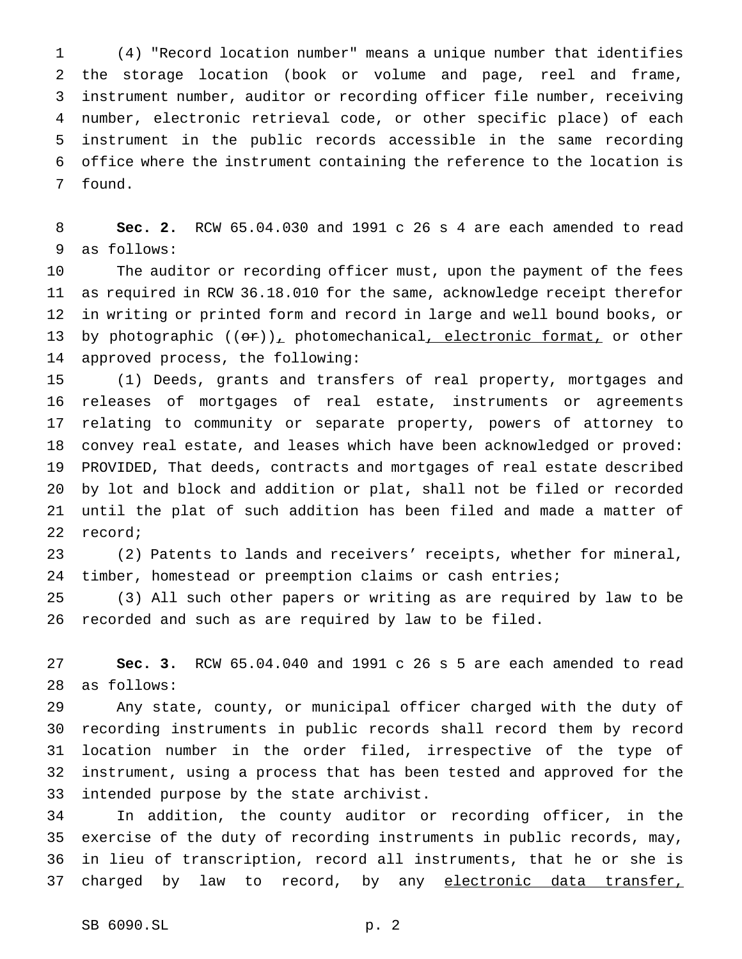(4) "Record location number" means a unique number that identifies the storage location (book or volume and page, reel and frame, instrument number, auditor or recording officer file number, receiving number, electronic retrieval code, or other specific place) of each instrument in the public records accessible in the same recording office where the instrument containing the reference to the location is found.

 **Sec. 2.** RCW 65.04.030 and 1991 c 26 s 4 are each amended to read as follows:

 The auditor or recording officer must, upon the payment of the fees as required in RCW 36.18.010 for the same, acknowledge receipt therefor in writing or printed form and record in large and well bound books, or 13 by photographic  $((\theta \cdot r)_+$  photomechanical, electronic format, or other approved process, the following:

 (1) Deeds, grants and transfers of real property, mortgages and releases of mortgages of real estate, instruments or agreements relating to community or separate property, powers of attorney to convey real estate, and leases which have been acknowledged or proved: PROVIDED, That deeds, contracts and mortgages of real estate described by lot and block and addition or plat, shall not be filed or recorded until the plat of such addition has been filed and made a matter of record;

 (2) Patents to lands and receivers' receipts, whether for mineral, timber, homestead or preemption claims or cash entries;

 (3) All such other papers or writing as are required by law to be recorded and such as are required by law to be filed.

 **Sec. 3.** RCW 65.04.040 and 1991 c 26 s 5 are each amended to read as follows:

 Any state, county, or municipal officer charged with the duty of recording instruments in public records shall record them by record location number in the order filed, irrespective of the type of instrument, using a process that has been tested and approved for the intended purpose by the state archivist.

 In addition, the county auditor or recording officer, in the exercise of the duty of recording instruments in public records, may, in lieu of transcription, record all instruments, that he or she is 37 charged by law to record, by any electronic data transfer,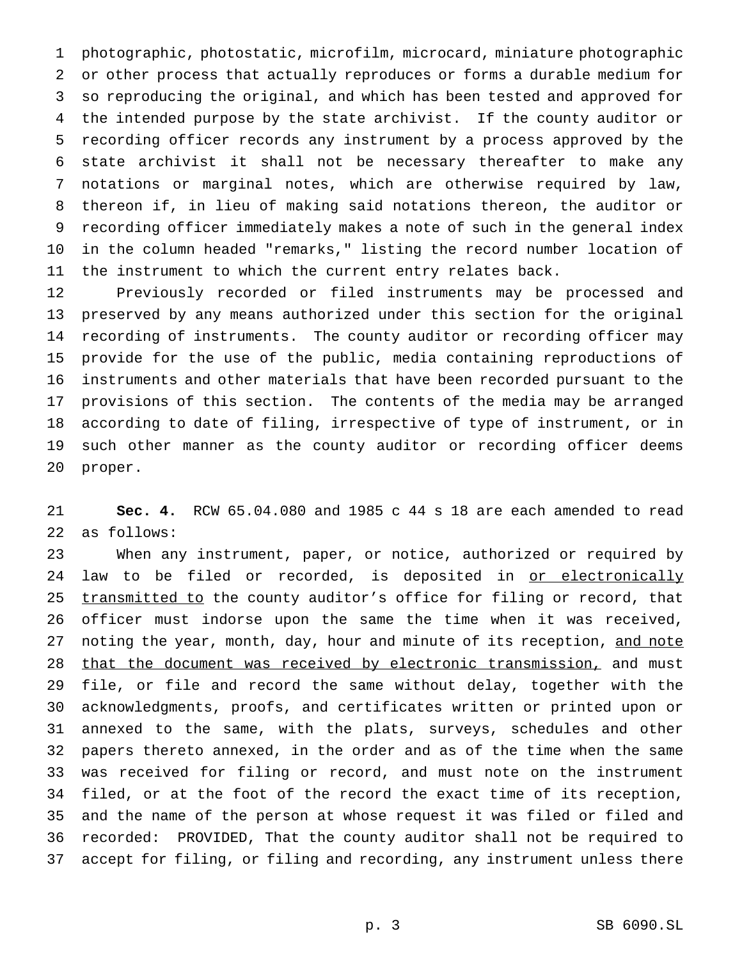photographic, photostatic, microfilm, microcard, miniature photographic or other process that actually reproduces or forms a durable medium for so reproducing the original, and which has been tested and approved for the intended purpose by the state archivist. If the county auditor or recording officer records any instrument by a process approved by the state archivist it shall not be necessary thereafter to make any notations or marginal notes, which are otherwise required by law, thereon if, in lieu of making said notations thereon, the auditor or recording officer immediately makes a note of such in the general index in the column headed "remarks," listing the record number location of the instrument to which the current entry relates back.

 Previously recorded or filed instruments may be processed and preserved by any means authorized under this section for the original recording of instruments. The county auditor or recording officer may provide for the use of the public, media containing reproductions of instruments and other materials that have been recorded pursuant to the provisions of this section. The contents of the media may be arranged according to date of filing, irrespective of type of instrument, or in such other manner as the county auditor or recording officer deems proper.

 **Sec. 4.** RCW 65.04.080 and 1985 c 44 s 18 are each amended to read as follows:

 When any instrument, paper, or notice, authorized or required by 24 law to be filed or recorded, is deposited in <u>or electronically</u> 25 transmitted to the county auditor's office for filing or record, that officer must indorse upon the same the time when it was received, 27 noting the year, month, day, hour and minute of its reception, and note 28 that the document was received by electronic transmission, and must file, or file and record the same without delay, together with the acknowledgments, proofs, and certificates written or printed upon or annexed to the same, with the plats, surveys, schedules and other papers thereto annexed, in the order and as of the time when the same was received for filing or record, and must note on the instrument filed, or at the foot of the record the exact time of its reception, and the name of the person at whose request it was filed or filed and recorded: PROVIDED, That the county auditor shall not be required to accept for filing, or filing and recording, any instrument unless there